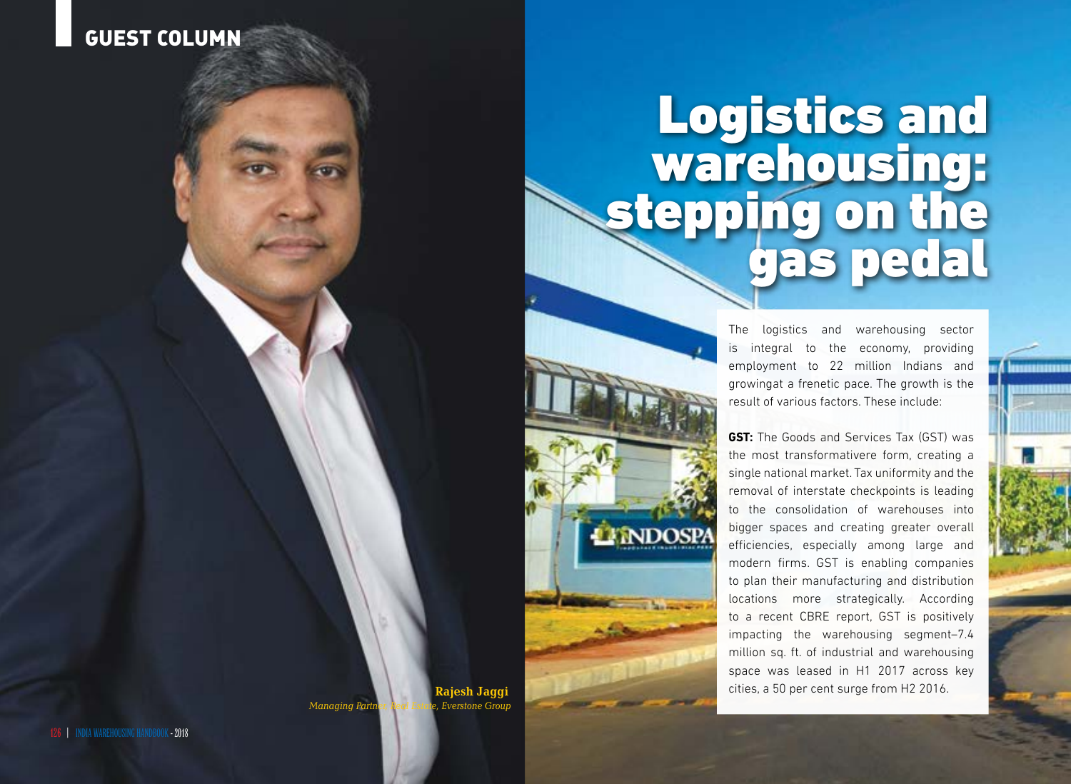## Guest column

## Logistics and warehousing: stepping on the gas pedal

is integral to the economy, providing employment to 22 million Indians and growingat a frenetic pace. The growth is the result of various factors. These include:

The linguistics and warehousing sectors and the logistics and warehousing sectors and the logistics and the logistics and the logistics and the logistics and the logistics and the logistics and the logistics and the logist **GST:** The Goods and Services Tax (GST) was the most transformativere form, creating a single national market. Tax uniformity and the removal of interstate checkpoints is leading to the consolidation of warehouses into bigger spaces and creating greater overall efficiencies, especially among large and modern firms. GST is enabling companies to plan their manufacturing and distribution locations more strategically. According to a recent CBRE report, GST is positively impacting the warehousing segment–7.4 million sq. ft. of industrial and warehousing space was leased in H1 2017 across key cities, a 50 per cent surge from H2 2016.

**Rajesh Jaggi**

*Managing Parti*